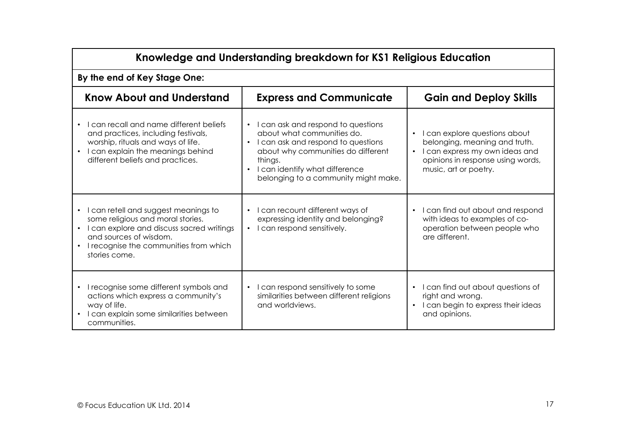| Knowledge and Understanding breakdown for KS1 Religious Education                                                                                                                                           |                                                                                                                                                                                                                                     |                                                                                                                                                                                          |  |
|-------------------------------------------------------------------------------------------------------------------------------------------------------------------------------------------------------------|-------------------------------------------------------------------------------------------------------------------------------------------------------------------------------------------------------------------------------------|------------------------------------------------------------------------------------------------------------------------------------------------------------------------------------------|--|
| By the end of Key Stage One:                                                                                                                                                                                |                                                                                                                                                                                                                                     |                                                                                                                                                                                          |  |
| <b>Know About and Understand</b>                                                                                                                                                                            | <b>Express and Communicate</b>                                                                                                                                                                                                      | <b>Gain and Deploy Skills</b>                                                                                                                                                            |  |
| I can recall and name different beliefs<br>$\bullet$<br>and practices, including festivals,<br>worship, rituals and ways of life.<br>I can explain the meanings behind<br>different beliefs and practices.  | • I can ask and respond to questions<br>about what communities do.<br>I can ask and respond to questions<br>about why communities do different<br>things.<br>I can identify what difference<br>belonging to a community might make. | I can explore questions about<br>$\bullet$<br>belonging, meaning and truth.<br>I can express my own ideas and<br>$\bullet$<br>opinions in response using words,<br>music, art or poetry. |  |
| I can retell and suggest meanings to<br>some religious and moral stories.<br>I can explore and discuss sacred writings<br>and sources of wisdom.<br>I recognise the communities from which<br>stories come. | I can recount different ways of<br>$\bullet$<br>expressing identity and belonging?<br>I can respond sensitively.<br>$\bullet$                                                                                                       | I can find out about and respond<br>with ideas to examples of co-<br>operation between people who<br>are different.                                                                      |  |
| I recognise some different symbols and<br>actions which express a community's<br>way of life.<br>I can explain some similarities between<br>communities.                                                    | I can respond sensitively to some<br>$\bullet$<br>similarities between different religions<br>and worldviews.                                                                                                                       | I can find out about questions of<br>right and wrong.<br>I can begin to express their ideas<br>and opinions.                                                                             |  |